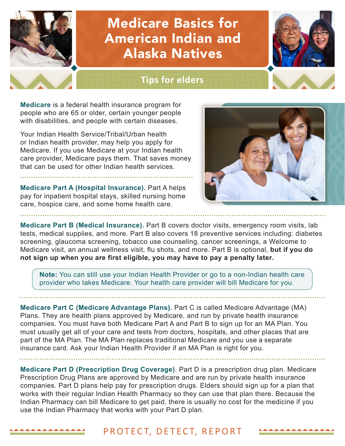# Medicare Basics for American Indian and Alaska Natives

### **Tips for elders**

**Medicare** is a federal health insurance program for people who are 65 or older, certain younger people with disabilities, and people with certain diseases.

Your Indian Health Service/Tribal/Urban health or Indian health provider, may help you apply for Medicare. If you use Medicare at your Indian health care provider, Medicare pays them. That saves money that can be used for other Indian health services.

**Medicare Part A (Hospital Insurance).** Part A helps pay for inpatient hospital stays, skilled nursing home care, hospice care, and some home health care.

**Medicare Part B (Medical Insurance).** Part B covers doctor visits, emergency room visits, lab tests, medical supplies, and more. Part B also covers 18 preventive services including: diabetes screening, glaucoma screening, tobacco use counseling, cancer screenings, a Welcome to Medicare visit, an annual wellness visit, flu shots, and more. Part B is optional, **but if you do not sign up when you are first eligible, you may have to pay a penalty later.**

**Note:** You can still use your Indian Health Provider or go to a non-Indian health care provider who takes Medicare. Your health care provider will bill Medicare for you.

**Medicare Part C (Medicare Advantage Plans).** Part C is called Medicare Advantage (MA) Plans. They are health plans approved by Medicare, and run by private health insurance companies. You must have both Medicare Part A and Part B to sign up for an MA Plan. You must usually get all of your care and tests from doctors, hospitals, and other places that are part of the MA Plan. The MA Plan replaces traditional Medicare and you use a separate insurance card. Ask your Indian Health Provider if an MA Plan is right for you.

**Medicare Part D (Prescription Drug Coverage)**. Part D is a prescription drug plan. Medicare Prescription Drug Plans are approved by Medicare and are run by private health insurance companies. Part D plans help pay for prescription drugs. Elders should sign up for a plan that works with their regular Indian Health Pharmacy so they can use that plan there. Because the Indian Pharmacy can bill Medicare to get paid, there is usually no cost for the medicine if you use the Indian Pharmacy that works with your Part D plan.

#### PROTECT, DETECT, REPORT